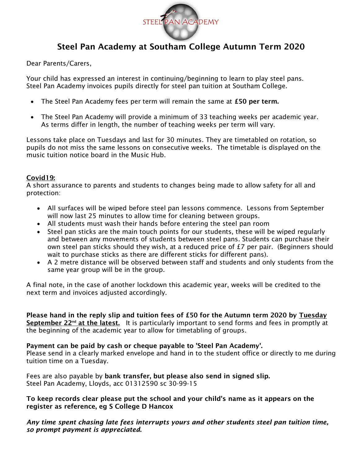

# Steel Pan Academy at Southam College Autumn Term 2020

Dear Parents/Carers,

Your child has expressed an interest in continuing/beginning to learn to play steel pans. Steel Pan Academy invoices pupils directly for steel pan tuition at Southam College.

- The Steel Pan Academy fees per term will remain the same at £50 per term.
- The Steel Pan Academy will provide a minimum of 33 teaching weeks per academic year. As terms differ in length, the number of teaching weeks per term will vary.

Lessons take place on Tuesdays and last for 30 minutes. They are timetabled on rotation, so pupils do not miss the same lessons on consecutive weeks. The timetable is displayed on the music tuition notice board in the Music Hub.

## Covid19:

A short assurance to parents and students to changes being made to allow safety for all and protection:

- All surfaces will be wiped before steel pan lessons commence. Lessons from September will now last 25 minutes to allow time for cleaning between groups.
- All students must wash their hands before entering the steel pan room
- Steel pan sticks are the main touch points for our students, these will be wiped regularly and between any movements of students between steel pans. Students can purchase their own steel pan sticks should they wish, at a reduced price of  $E7$  per pair. (Beginners should wait to purchase sticks as there are different sticks for different pans).
- A 2 metre distance will be observed between staff and students and only students from the same year group will be in the group.

A final note, in the case of another lockdown this academic year, weeks will be credited to the next term and invoices adjusted accordingly.

Please hand in the reply slip and tuition fees of £50 for the Autumn term 2020 by Tuesday September  $22<sup>nd</sup>$  at the latest. It is particularly important to send forms and fees in promptly at the beginning of the academic year to allow for timetabling of groups.

## Payment can be paid by cash or cheque payable to 'Steel Pan Academy'.

Please send in a clearly marked envelope and hand in to the student office or directly to me during tuition time on a Tuesday.

Fees are also payable by bank transfer, but please also send in signed slip. Steel Pan Academy, Lloyds, acc 01312590 sc 30-99-15

To keep records clear please put the school and your child's name as it appears on the register as reference, eg S College D Hancox

*Any time spent chasing late fees interrupts yours and other students steel pan tuition time, so prompt payment is appreciated*.